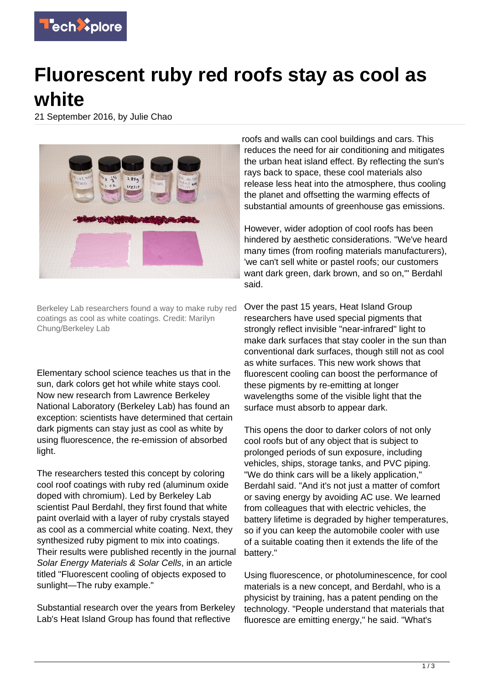

## **Fluorescent ruby red roofs stay as cool as white**

21 September 2016, by Julie Chao



Berkeley Lab researchers found a way to make ruby red coatings as cool as white coatings. Credit: Marilyn Chung/Berkeley Lab

Elementary school science teaches us that in the sun, dark colors get hot while white stays cool. Now new research from Lawrence Berkeley National Laboratory (Berkeley Lab) has found an exception: scientists have determined that certain dark pigments can stay just as cool as white by using fluorescence, the re-emission of absorbed light.

The researchers tested this concept by coloring cool roof coatings with ruby red (aluminum oxide doped with chromium). Led by Berkeley Lab scientist Paul Berdahl, they first found that white paint overlaid with a layer of ruby crystals stayed as cool as a commercial white coating. Next, they synthesized ruby pigment to mix into coatings. Their results were published recently in the journal Solar Energy Materials & Solar Cells, in an article titled "Fluorescent cooling of objects exposed to sunlight—The ruby example."

Substantial research over the years from Berkeley Lab's Heat Island Group has found that reflective

roofs and walls can cool buildings and cars. This reduces the need for air conditioning and mitigates the urban heat island effect. By reflecting the sun's rays back to space, these cool materials also release less heat into the atmosphere, thus cooling the planet and offsetting the warming effects of substantial amounts of greenhouse gas emissions.

However, wider adoption of cool roofs has been hindered by aesthetic considerations. "We've heard many times (from roofing materials manufacturers), 'we can't sell white or pastel roofs; our customers want dark green, dark brown, and so on." Berdahl said.

Over the past 15 years, Heat Island Group researchers have used special pigments that strongly reflect invisible "near-infrared" light to make dark surfaces that stay cooler in the sun than conventional dark surfaces, though still not as cool as white surfaces. This new work shows that fluorescent cooling can boost the performance of these pigments by re-emitting at longer wavelengths some of the visible light that the surface must absorb to appear dark.

This opens the door to darker colors of not only cool roofs but of any object that is subject to prolonged periods of sun exposure, including vehicles, ships, storage tanks, and PVC piping. "We do think cars will be a likely application," Berdahl said. "And it's not just a matter of comfort or saving energy by avoiding AC use. We learned from colleagues that with electric vehicles, the battery lifetime is degraded by higher temperatures, so if you can keep the automobile cooler with use of a suitable coating then it extends the life of the battery."

Using fluorescence, or photoluminescence, for cool materials is a new concept, and Berdahl, who is a physicist by training, has a patent pending on the technology. "People understand that materials that fluoresce are emitting energy," he said. "What's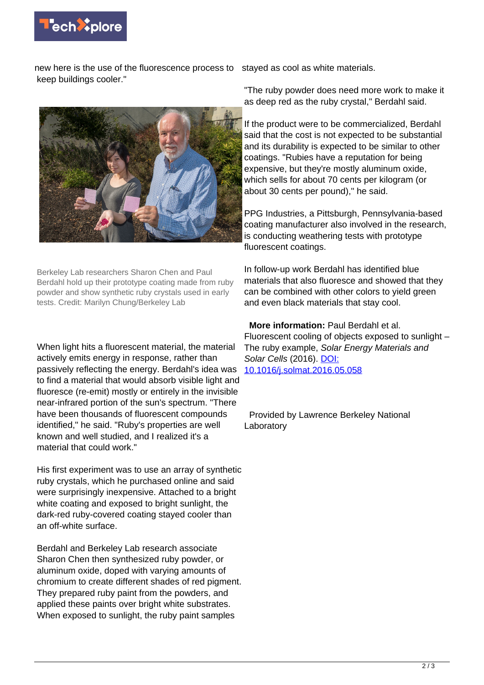

new here is the use of the fluorescence process to stayed as cool as white materials. keep buildings cooler."



Berkeley Lab researchers Sharon Chen and Paul Berdahl hold up their prototype coating made from ruby powder and show synthetic ruby crystals used in early tests. Credit: Marilyn Chung/Berkeley Lab

When light hits a fluorescent material, the material actively emits energy in response, rather than passively reflecting the energy. Berdahl's idea was to find a material that would absorb visible light and fluoresce (re-emit) mostly or entirely in the invisible near-infrared portion of the sun's spectrum. "There have been thousands of fluorescent compounds identified," he said. "Ruby's properties are well known and well studied, and I realized it's a material that could work."

His first experiment was to use an array of synthetic ruby crystals, which he purchased online and said were surprisingly inexpensive. Attached to a bright white coating and exposed to bright sunlight, the dark-red ruby-covered coating stayed cooler than an off-white surface.

Berdahl and Berkeley Lab research associate Sharon Chen then synthesized ruby powder, or aluminum oxide, doped with varying amounts of chromium to create different shades of red pigment. They prepared ruby paint from the powders, and applied these paints over bright white substrates. When exposed to sunlight, the ruby paint samples

"The ruby powder does need more work to make it as deep red as the ruby crystal," Berdahl said.

If the product were to be commercialized, Berdahl said that the cost is not expected to be substantial and its durability is expected to be similar to other coatings. "Rubies have a reputation for being expensive, but they're mostly aluminum oxide, which sells for about 70 cents per kilogram (or about 30 cents per pound)," he said.

PPG Industries, a Pittsburgh, Pennsylvania-based coating manufacturer also involved in the research, is conducting weathering tests with prototype fluorescent coatings.

In follow-up work Berdahl has identified blue materials that also fluoresce and showed that they can be combined with other colors to yield green and even black materials that stay cool.

 **More information:** Paul Berdahl et al. Fluorescent cooling of objects exposed to sunlight – The ruby example, Solar Energy Materials and Solar Cells (2016). [DOI:](http://dx.doi.org/10.1016/j.solmat.2016.05.058) [10.1016/j.solmat.2016.05.058](http://dx.doi.org/10.1016/j.solmat.2016.05.058)

 Provided by Lawrence Berkeley National Laboratory